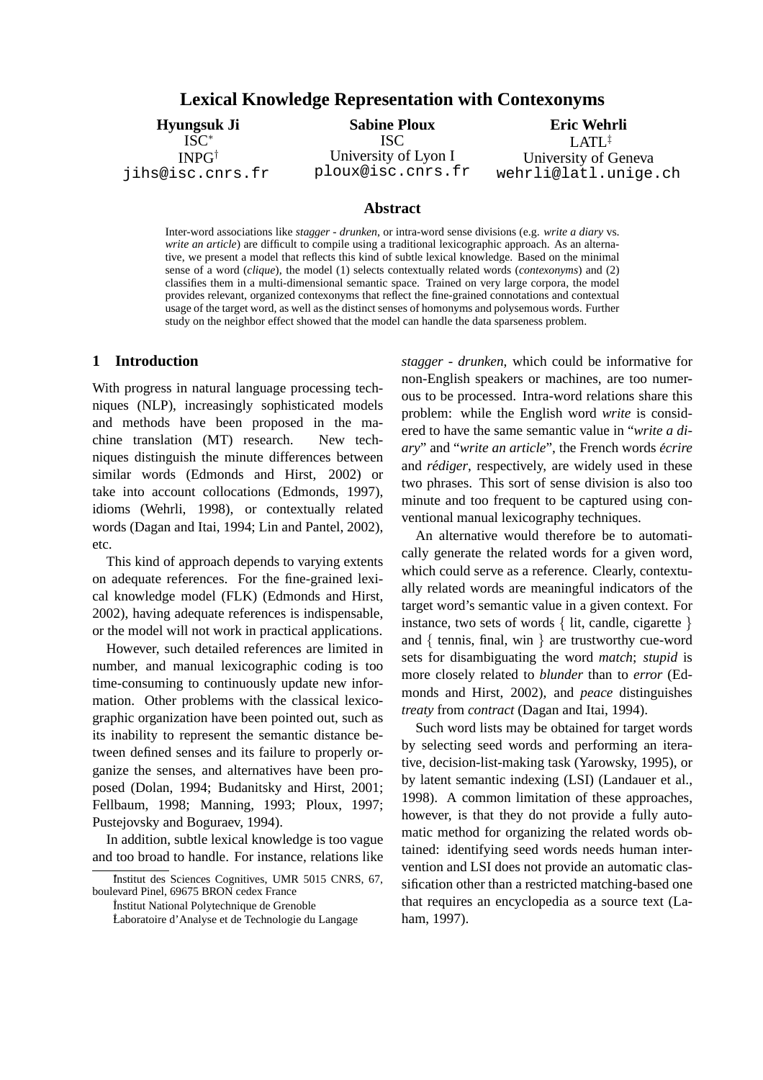## **Lexical Knowledge Representation with Contexonyms**

## **Hyungsuk Ji** ISC<sup>∗</sup> INPG† jihs@isc.cnrs.fr

# **Sabine Ploux**

ISC University of Lyon I ploux@isc.cnrs.fr

**Eric Wehrli** LATL‡ University of Geneva wehrli@latl.unige.ch

### **Abstract**

Inter-word associations like *stagger - drunken*, or intra-word sense divisions (e.g. *write a diary* vs. *write an article*) are difficult to compile using a traditional lexicographic approach. As an alternative, we present a model that reflects this kind of subtle lexical knowledge. Based on the minimal sense of a word (*clique*), the model (1) selects contextually related words (*contexonyms*) and (2) classifies them in a multi-dimensional semantic space. Trained on very large corpora, the model provides relevant, organized contexonyms that reflect the fine-grained connotations and contextual usage of the target word, as well as the distinct senses of homonyms and polysemous words. Further study on the neighbor effect showed that the model can handle the data sparseness problem.

## **1 Introduction**

With progress in natural language processing techniques (NLP), increasingly sophisticated models and methods have been proposed in the machine translation (MT) research. New techniques distinguish the minute differences between similar words (Edmonds and Hirst, 2002) or take into account collocations (Edmonds, 1997), idioms (Wehrli, 1998), or contextually related words (Dagan and Itai, 1994; Lin and Pantel, 2002), etc.

This kind of approach depends to varying extents on adequate references. For the fine-grained lexical knowledge model (FLK) (Edmonds and Hirst, 2002), having adequate references is indispensable, or the model will not work in practical applications.

However, such detailed references are limited in number, and manual lexicographic coding is too time-consuming to continuously update new information. Other problems with the classical lexicographic organization have been pointed out, such as its inability to represent the semantic distance between defined senses and its failure to properly organize the senses, and alternatives have been proposed (Dolan, 1994; Budanitsky and Hirst, 2001; Fellbaum, 1998; Manning, 1993; Ploux, 1997; Pustejovsky and Boguraev, 1994).

In addition, subtle lexical knowledge is too vague and too broad to handle. For instance, relations like *stagger - drunken*, which could be informative for non-English speakers or machines, are too numerous to be processed. Intra-word relations share this problem: while the English word *write* is considered to have the same semantic value in "*write a diary*" and "*write an article*", the French words *ecrire ´* and *rédiger*, respectively, are widely used in these two phrases. This sort of sense division is also too minute and too frequent to be captured using conventional manual lexicography techniques.

An alternative would therefore be to automatically generate the related words for a given word, which could serve as a reference. Clearly, contextually related words are meaningful indicators of the target word's semantic value in a given context. For instance, two sets of words { lit, candle, cigarette } and  $\{$  tennis, final, win  $\}$  are trustworthy cue-word sets for disambiguating the word *match*; *stupid* is more closely related to *blunder* than to *error* (Edmonds and Hirst, 2002), and *peace* distinguishes *treaty* from *contract* (Dagan and Itai, 1994).

Such word lists may be obtained for target words by selecting seed words and performing an iterative, decision-list-making task (Yarowsky, 1995), or by latent semantic indexing (LSI) (Landauer et al., 1998). A common limitation of these approaches, however, is that they do not provide a fully automatic method for organizing the related words obtained: identifying seed words needs human intervention and LSI does not provide an automatic classification other than a restricted matching-based one that requires an encyclopedia as a source text (Laham, 1997).

<sup>∗</sup> Institut des Sciences Cognitives, UMR 5015 CNRS, 67, boulevard Pinel, 69675 BRON cedex France

<sup>†</sup> Institut National Polytechnique de Grenoble

<sup>‡</sup>Laboratoire d'Analyse et de Technologie du Langage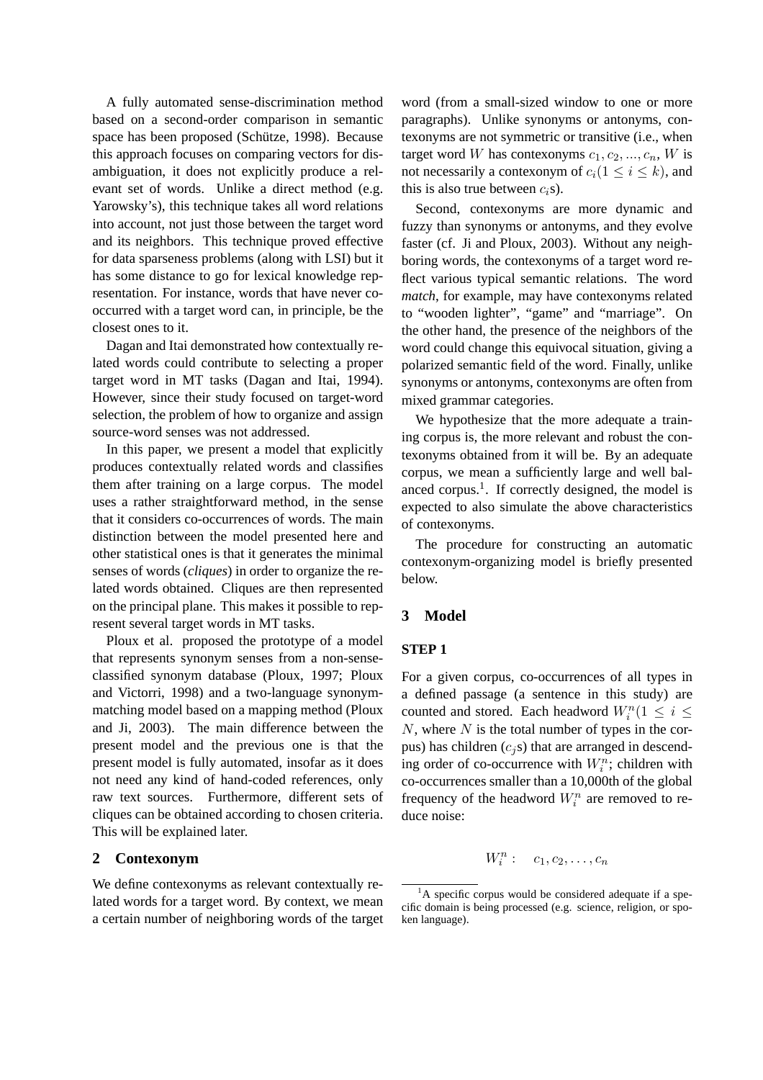A fully automated sense-discrimination method based on a second-order comparison in semantic space has been proposed (Schütze, 1998). Because this approach focuses on comparing vectors for disambiguation, it does not explicitly produce a relevant set of words. Unlike a direct method (e.g. Yarowsky's), this technique takes all word relations into account, not just those between the target word and its neighbors. This technique proved effective for data sparseness problems (along with LSI) but it has some distance to go for lexical knowledge representation. For instance, words that have never cooccurred with a target word can, in principle, be the closest ones to it.

Dagan and Itai demonstrated how contextually related words could contribute to selecting a proper target word in MT tasks (Dagan and Itai, 1994). However, since their study focused on target-word selection, the problem of how to organize and assign source-word senses was not addressed.

In this paper, we present a model that explicitly produces contextually related words and classifies them after training on a large corpus. The model uses a rather straightforward method, in the sense that it considers co-occurrences of words. The main distinction between the model presented here and other statistical ones is that it generates the minimal senses of words (*cliques*) in order to organize the related words obtained. Cliques are then represented on the principal plane. This makes it possible to represent several target words in MT tasks.

Ploux et al. proposed the prototype of a model that represents synonym senses from a non-senseclassified synonym database (Ploux, 1997; Ploux and Victorri, 1998) and a two-language synonymmatching model based on a mapping method (Ploux and Ji, 2003). The main difference between the present model and the previous one is that the present model is fully automated, insofar as it does not need any kind of hand-coded references, only raw text sources. Furthermore, different sets of cliques can be obtained according to chosen criteria. This will be explained later.

### **2 Contexonym**

We define contexonyms as relevant contextually related words for a target word. By context, we mean a certain number of neighboring words of the target word (from a small-sized window to one or more paragraphs). Unlike synonyms or antonyms, contexonyms are not symmetric or transitive (i.e., when target word W has contexonyms  $c_1, c_2, ..., c_n$ , W is not necessarily a contexonym of  $c_i(1 \leq i \leq k)$ , and this is also true between  $c_i$ s).

Second, contexonyms are more dynamic and fuzzy than synonyms or antonyms, and they evolve faster (cf. Ji and Ploux, 2003). Without any neighboring words, the contexonyms of a target word reflect various typical semantic relations. The word *match*, for example, may have contexonyms related to "wooden lighter", "game" and "marriage". On the other hand, the presence of the neighbors of the word could change this equivocal situation, giving a polarized semantic field of the word. Finally, unlike synonyms or antonyms, contexonyms are often from mixed grammar categories.

We hypothesize that the more adequate a training corpus is, the more relevant and robust the contexonyms obtained from it will be. By an adequate corpus, we mean a sufficiently large and well balanced corpus.<sup>1</sup>. If correctly designed, the model is expected to also simulate the above characteristics of contexonyms.

The procedure for constructing an automatic contexonym-organizing model is briefly presented below.

### **3 Model**

### **STEP 1**

For a given corpus, co-occurrences of all types in a defined passage (a sentence in this study) are counted and stored. Each headword  $W_i^n(1 \leq i \leq$  $N$ , where  $N$  is the total number of types in the corpus) has children  $(c_j s)$  that are arranged in descending order of co-occurrence with  $W_i^n$ ; children with co-occurrences smaller than a 10,000th of the global frequency of the headword  $W_i^n$  are removed to reduce noise:

$$
W_i^n: \quad c_1, c_2, \ldots, c_n
$$

 ${}^{1}$ A specific corpus would be considered adequate if a specific domain is being processed (e.g. science, religion, or spoken language).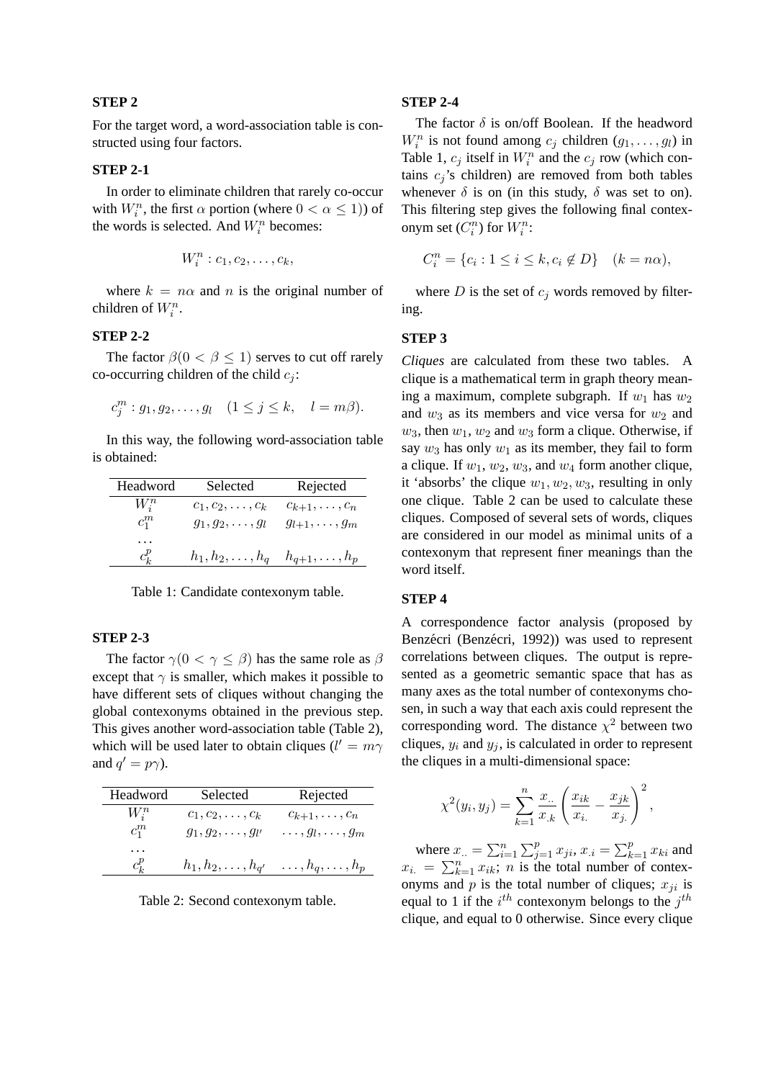#### **STEP 2**

For the target word, a word-association table is constructed using four factors.

#### **STEP 2-1**

In order to eliminate children that rarely co-occur with  $W_i^n$ , the first  $\alpha$  portion (where  $0 < \alpha \le 1$ )) of the words is selected. And  $W_i^n$  becomes:

$$
W_i^n : c_1, c_2, \ldots, c_k,
$$

where  $k = n\alpha$  and n is the original number of children of  $W_i^n$ .

## **STEP 2-2**

The factor  $\beta(0 < \beta \leq 1)$  serves to cut off rarely co-occurring children of the child  $c_i$ :

$$
c_j^m : g_1, g_2, \dots, g_l \quad (1 \le j \le k, \quad l = m\beta).
$$

In this way, the following word-association table is obtained:

| Headword     | Selected                                           | Rejected             |
|--------------|----------------------------------------------------|----------------------|
| $W_i^n$      | $c_1, c_2, \ldots, c_k$                            | $c_{k+1},\ldots,c_n$ |
| $c_1^m$      | $g_1, g_2, \ldots, g_l$                            | $g_{l+1},\ldots,g_m$ |
| .<br>$c_k^p$ | $h_1, h_2, \ldots, h_q \quad h_{q+1}, \ldots, h_p$ |                      |

Table 1: Candidate contexonym table.

## **STEP 2-3**

The factor  $\gamma(0 < \gamma \leq \beta)$  has the same role as  $\beta$ except that  $\gamma$  is smaller, which makes it possible to have different sets of cliques without changing the global contexonyms obtained in the previous step. This gives another word-association table (Table 2), which will be used later to obtain cliques ( $l' = m\gamma$ ) and  $q' = p\gamma$ ).

| Headword | Selected                   | Rejected                   |
|----------|----------------------------|----------------------------|
| $W_i^n$  | $c_1, c_2, \ldots, c_k$    | $c_{k+1},\ldots,c_n$       |
| $c_1^m$  | $g_1, g_2, \ldots, g_{l'}$ | $\ldots, g_l, \ldots, g_m$ |
| .        |                            |                            |
| $c_k^p$  | $h_1, h_2, \ldots, h_{q'}$ | $\dots, h_q, \dots, h_p$   |

Table 2: Second contexonym table.

#### **STEP 2-4**

The factor  $\delta$  is on/off Boolean. If the headword  $W_i^n$  is not found among  $c_j$  children  $(g_1, \ldots, g_l)$  in Table 1,  $c_j$  itself in  $W_i^n$  and the  $c_j$  row (which contains  $c_i$ 's children) are removed from both tables whenever  $\delta$  is on (in this study,  $\delta$  was set to on). This filtering step gives the following final contexonym set  $(C_i^n)$  for  $W_i^n$ :

$$
C_i^n = \{c_i : 1 \le i \le k, c_i \notin D\} \quad (k = n\alpha),
$$

where  $D$  is the set of  $c_j$  words removed by filtering.

#### **STEP 3**

*Cliques* are calculated from these two tables. A clique is a mathematical term in graph theory meaning a maximum, complete subgraph. If  $w_1$  has  $w_2$ and  $w_3$  as its members and vice versa for  $w_2$  and  $w_3$ , then  $w_1, w_2$  and  $w_3$  form a clique. Otherwise, if say  $w_3$  has only  $w_1$  as its member, they fail to form a clique. If  $w_1, w_2, w_3$ , and  $w_4$  form another clique, it 'absorbs' the clique  $w_1, w_2, w_3$ , resulting in only one clique. Table 2 can be used to calculate these cliques. Composed of several sets of words, cliques are considered in our model as minimal units of a contexonym that represent finer meanings than the word itself.

#### **STEP 4**

A correspondence factor analysis (proposed by Benzécri (Benzécri, 1992)) was used to represent correlations between cliques. The output is represented as a geometric semantic space that has as many axes as the total number of contexonyms chosen, in such a way that each axis could represent the corresponding word. The distance  $\chi^2$  between two cliques,  $y_i$  and  $y_j$ , is calculated in order to represent the cliques in a multi-dimensional space:

$$
\chi^{2}(y_{i}, y_{j}) = \sum_{k=1}^{n} \frac{x_{..}}{x_{.k}} \left( \frac{x_{ik}}{x_{i.}} - \frac{x_{jk}}{x_{j.}} \right)^{2},
$$

where  $x_{..} = \sum_{i=1}^{n}$  $\sum_{j=1}^p x_{ji}$ ,  $x_{.i} = \sum_{k=1}^p x_{ki}$  and where  $x_n = \sum_{i=1}^n \sum_{j=1}^n x_{ji}$ ,  $x_n = \sum_{k=1}^n x_{ki}$  and  $x_i = \sum_{k=1}^n x_{ik}$ ; *n* is the total number of contexonyms and  $p$  is the total number of cliques;  $x_{ji}$  is equal to 1 if the  $i^{th}$  contexonym belongs to the  $j^{th}$ clique, and equal to 0 otherwise. Since every clique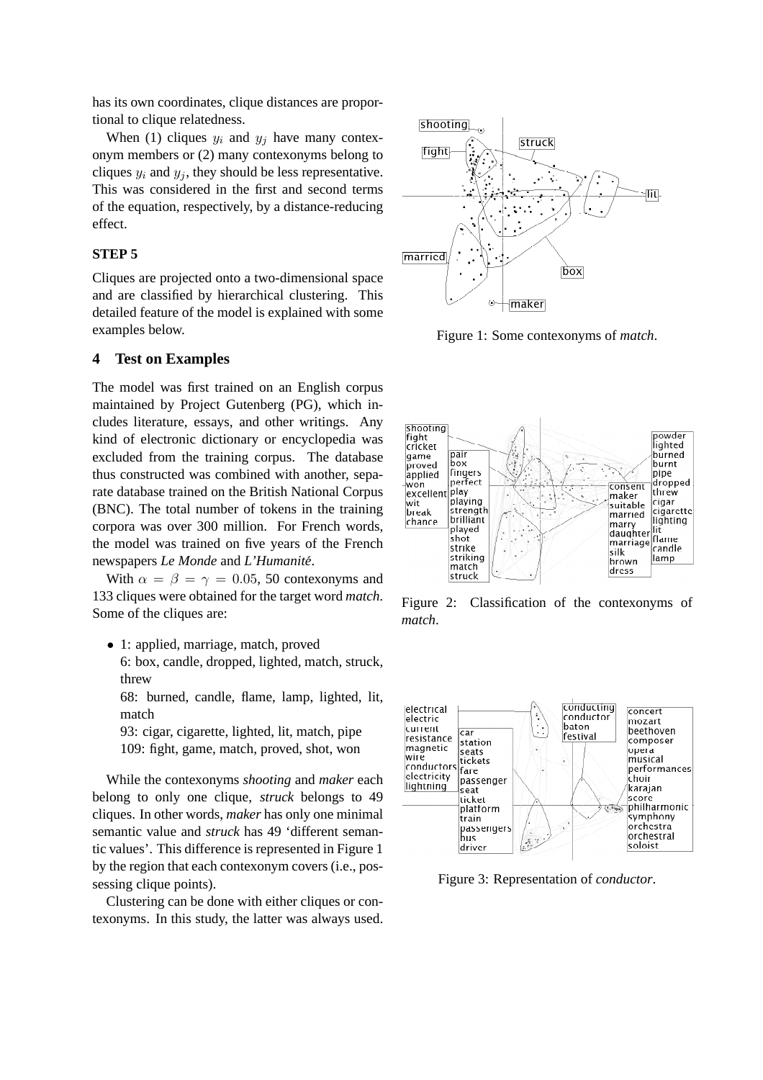has its own coordinates, clique distances are proportional to clique relatedness.

When (1) cliques  $y_i$  and  $y_j$  have many contexonym members or (2) many contexonyms belong to cliques  $y_i$  and  $y_j$ , they should be less representative. This was considered in the first and second terms of the equation, respectively, by a distance-reducing effect.

## **STEP 5**

Cliques are projected onto a two-dimensional space and are classified by hierarchical clustering. This detailed feature of the model is explained with some examples below.

### **4 Test on Examples**

The model was first trained on an English corpus maintained by Project Gutenberg (PG), which includes literature, essays, and other writings. Any kind of electronic dictionary or encyclopedia was excluded from the training corpus. The database thus constructed was combined with another, separate database trained on the British National Corpus (BNC). The total number of tokens in the training corpora was over 300 million. For French words, the model was trained on five years of the French newspapers *Le Monde* and *L'Humanite´*.

With  $\alpha = \beta = \gamma = 0.05$ , 50 contexonyms and 133 cliques were obtained for the target word *match*. Some of the cliques are:

• 1: applied, marriage, match, proved

6: box, candle, dropped, lighted, match, struck, threw

68: burned, candle, flame, lamp, lighted, lit, match

93: cigar, cigarette, lighted, lit, match, pipe 109: fight, game, match, proved, shot, won

While the contexonyms *shooting* and *maker* each belong to only one clique, *struck* belongs to 49 cliques. In other words, *maker* has only one minimal semantic value and *struck* has 49 'different semantic values'. This difference is represented in Figure 1 by the region that each contexonym covers (i.e., possessing clique points).

Clustering can be done with either cliques or contexonyms. In this study, the latter was always used.



Figure 1: Some contexonyms of *match*.



Figure 2: Classification of the contexonyms of *match*.



Figure 3: Representation of *conductor*.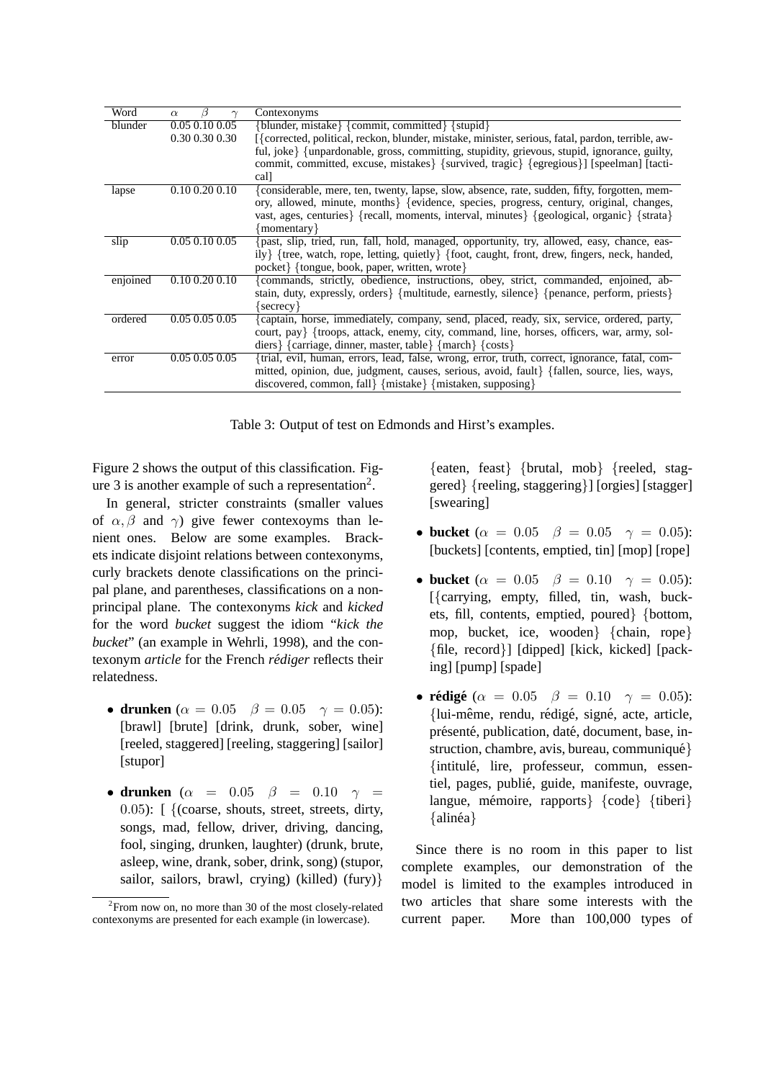| Word     | $\alpha$             | Contexonyms                                                                                               |
|----------|----------------------|-----------------------------------------------------------------------------------------------------------|
| blunder  | 0.05 0.10 0.05       | $\{blunder, mistake\}$ {commit, committed} $\{style\}$                                                    |
|          | 0.30 0.30 0.30       | [{corrected, political, reckon, blunder, mistake, minister, serious, fatal, pardon, terrible, aw-         |
|          |                      | ful, joke} {unpardonable, gross, committing, stupidity, grievous, stupid, ignorance, guilty,              |
|          |                      | commit, committed, excuse, mistakes { {survived, tragic } { {egregious } ] [speelman] [tacti-             |
|          |                      | cal]                                                                                                      |
| lapse    | $0.10\ 0.20\ 0.10$   | {considerable, mere, ten, twenty, lapse, slow, absence, rate, sudden, fifty, forgotten, mem-              |
|          |                      | ory, allowed, minute, months { {evidence, species, progress, century, original, changes,                  |
|          |                      | vast, ages, centuries { {recall, moments, interval, minutes } { geological, organic } { strata }          |
|          |                      | {momentary}                                                                                               |
| slip     | 0.05 0.10 0.05       | {past, slip, tried, run, fall, hold, managed, opportunity, try, allowed, easy, chance, eas-               |
|          |                      | ily} {tree, watch, rope, letting, quietly} {foot, caught, front, drew, fingers, neck, handed,             |
|          |                      | pocket { {tongue, book, paper, written, wrote }                                                           |
| enjoined | $0.10$ $0.20$ $0.10$ | commands, strictly, obedience, instructions, obey, strict, commanded, enjoined, ab-                       |
|          |                      | stain, duty, expressly, orders $\{$ multitude, earnestly, silence $\{$ for earners, perform, priests $\}$ |
|          |                      | $\{s$ ecrecy $\}$                                                                                         |
| ordered  | $0.05$ 0.05 0.05     | {captain, horse, immediately, company, send, placed, ready, six, service, ordered, party,                 |
|          |                      | court, pay} {troops, attack, enemy, city, command, line, horses, officers, war, army, sol-                |
|          |                      | diers { $\{carriage, dinner, master, table\}$ { $mark$ { $costs$ }                                        |
| error    | $0.05\ 0.05\ 0.05$   | {trial, evil, human, errors, lead, false, wrong, error, truth, correct, ignorance, fatal, com-            |
|          |                      | mitted, opinion, due, judgment, causes, serious, avoid, fault { fallen, source, lies, ways,               |
|          |                      | discovered, common, fall { $mistake$ } { $mistaken$ , supposing}                                          |
|          |                      |                                                                                                           |

Table 3: Output of test on Edmonds and Hirst's examples.

Figure 2 shows the output of this classification. Figure 3 is another example of such a representation<sup>2</sup>.

In general, stricter constraints (smaller values of  $\alpha$ ,  $\beta$  and  $\gamma$ ) give fewer contexoyms than lenient ones. Below are some examples. Brackets indicate disjoint relations between contexonyms, curly brackets denote classifications on the principal plane, and parentheses, classifications on a nonprincipal plane. The contexonyms *kick* and *kicked* for the word *bucket* suggest the idiom "*kick the bucket*" (an example in Wehrli, 1998), and the contexonym *article* for the French *rédiger* reflects their relatedness.

- **drunken** ( $\alpha = 0.05$   $\beta = 0.05$   $\gamma = 0.05$ ): [brawl] [brute] [drink, drunk, sober, wine] [reeled, staggered] [reeling, staggering] [sailor] [stupor]
- **drunken** ( $\alpha$  = 0.05  $\beta$  = 0.10  $\gamma$  =  $(0.05)$ :  $\int$  {(coarse, shouts, street, streets, dirty, songs, mad, fellow, driver, driving, dancing, fool, singing, drunken, laughter) (drunk, brute, asleep, wine, drank, sober, drink, song) (stupor, sailor, sailors, brawl, crying) (killed) (fury)}

{eaten, feast} {brutal, mob} {reeled, staggered} {reeling, staggering}] [orgies] [stagger] [swearing]

- **bucket** ( $\alpha = 0.05$   $\beta = 0.05$   $\gamma = 0.05$ ): [buckets] [contents, emptied, tin] [mop] [rope]
- **bucket** ( $\alpha = 0.05$   $\beta = 0.10$   $\gamma = 0.05$ ): [{carrying, empty, filled, tin, wash, buckets, fill, contents, emptied, poured} {bottom, mop, bucket, ice, wooden} {chain, rope} {file, record}] [dipped] [kick, kicked] [packing] [pump] [spade]
- **rédigé**  $(\alpha = 0.05 \ \beta = 0.10 \ \gamma = 0.05)$ : {lui-même, rendu, rédigé, signé, acte, article, présenté, publication, daté, document, base, instruction, chambre, avis, bureau, communiqué } {intitule, lire, professeur, commun, essen- ´ tiel, pages, publié, guide, manifeste, ouvrage, langue, mémoire, rapports {  ${code}$  {tiberi}  ${alin\acute{e}a}$

Since there is no room in this paper to list complete examples, our demonstration of the model is limited to the examples introduced in two articles that share some interests with the current paper. More than 100,000 types of

<sup>&</sup>lt;sup>2</sup> From now on, no more than 30 of the most closely-related contexonyms are presented for each example (in lowercase).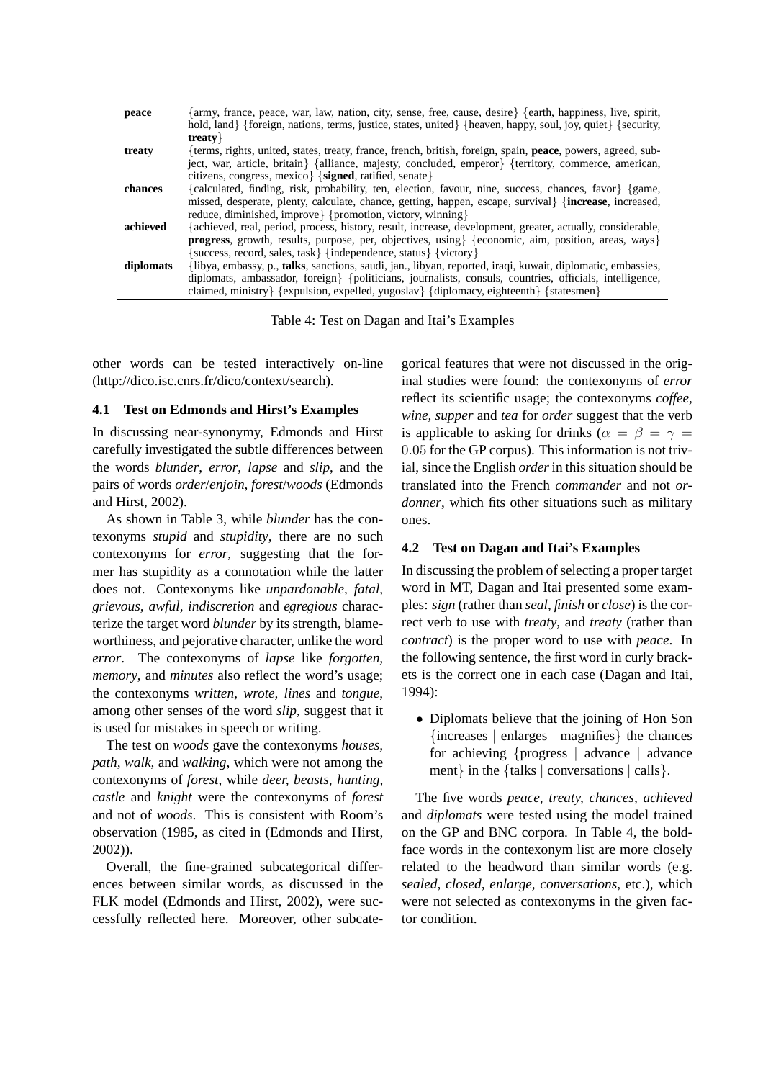| peace     | [army, france, peace, war, law, nation, city, sense, free, cause, desire} {earth, happiness, live, spirit,           |
|-----------|----------------------------------------------------------------------------------------------------------------------|
|           | hold, land { {foreign, nations, terms, justice, states, united { {heaven, happy, soul, joy, quiet } { security,      |
|           | treaty $\}$                                                                                                          |
| treaty    | {terms, rights, united, states, treaty, france, french, british, foreign, spain, <b>peace</b> , powers, agreed, sub- |
|           | ject, war, article, britain { alliance, majesty, concluded, emperor { {territory, commerce, american,                |
|           | citizens, congress, mexico $\{signed, \text{ratified}, \text{send}\}$                                                |
| chances   | {calculated, finding, risk, probability, ten, election, favour, nine, success, chances, favor} {game,                |
|           | missed, desperate, plenty, calculate, chance, getting, happen, escape, survival { {increase, increased,              |
|           | reduce, diminished, improve { {promotion, victory, winning }                                                         |
| achieved  | {achieved, real, period, process, history, result, increase, development, greater, actually, considerable,           |
|           | <b>progress</b> , growth, results, purpose, per, objectives, using {{economic, aim, position, areas, ways}           |
|           | success, record, sales, task { {independence, status } { victory }                                                   |
| diplomats | {libya, embassy, p., <b>talks</b> , sanctions, saudi, jan., libyan, reported, iraqi, kuwait, diplomatic, embassies,  |
|           | diplomats, ambassador, foreign { {politicians, journalists, consuls, countries, officials, intelligence,             |
|           | claimed, ministry { {expulsion, expelled, yugoslav } {diplomacy, eighteenth } { states men }                         |

Table 4: Test on Dagan and Itai's Examples

other words can be tested interactively on-line (http://dico.isc.cnrs.fr/dico/context/search).

### **4.1 Test on Edmonds and Hirst's Examples**

In discussing near-synonymy, Edmonds and Hirst carefully investigated the subtle differences between the words *blunder*, *error*, *lapse* and *slip*, and the pairs of words *order*/*enjoin*, *forest*/*woods* (Edmonds and Hirst, 2002).

As shown in Table 3, while *blunder* has the contexonyms *stupid* and *stupidity*, there are no such contexonyms for *error*, suggesting that the former has stupidity as a connotation while the latter does not. Contexonyms like *unpardonable, fatal, grievous, awful, indiscretion* and *egregious* characterize the target word *blunder* by its strength, blameworthiness, and pejorative character, unlike the word *error*. The contexonyms of *lapse* like *forgotten, memory*, and *minutes* also reflect the word's usage; the contexonyms *written, wrote, lines* and *tongue*, among other senses of the word *slip*, suggest that it is used for mistakes in speech or writing.

The test on *woods* gave the contexonyms *houses, path, walk,* and *walking*, which were not among the contexonyms of *forest*, while *deer, beasts, hunting, castle* and *knight* were the contexonyms of *forest* and not of *woods*. This is consistent with Room's observation (1985, as cited in (Edmonds and Hirst, 2002)).

Overall, the fine-grained subcategorical differences between similar words, as discussed in the FLK model (Edmonds and Hirst, 2002), were successfully reflected here. Moreover, other subcate-

gorical features that were not discussed in the original studies were found: the contexonyms of *error* reflect its scientific usage; the contexonyms *coffee, wine, supper* and *tea* for *order* suggest that the verb is applicable to asking for drinks ( $\alpha = \beta = \gamma$ ) 0.05 for the GP corpus). This information is not trivial, since the English *order*in this situation should be translated into the French *commander* and not *ordonner*, which fits other situations such as military ones.

### **4.2 Test on Dagan and Itai's Examples**

In discussing the problem of selecting a proper target word in MT, Dagan and Itai presented some examples: *sign* (rather than *seal*, *finish* or *close*) is the correct verb to use with *treaty*, and *treaty* (rather than *contract*) is the proper word to use with *peace*. In the following sentence, the first word in curly brackets is the correct one in each case (Dagan and Itai, 1994):

• Diplomats believe that the joining of Hon Son {increases | enlarges | magnifies} the chances for achieving {progress | advance | advance ment} in the {talks | conversations | calls}.

The five words *peace, treaty, chances, achieved* and *diplomats* were tested using the model trained on the GP and BNC corpora. In Table 4, the boldface words in the contexonym list are more closely related to the headword than similar words (e.g. *sealed, closed, enlarge, conversations*, etc.), which were not selected as contexonyms in the given factor condition.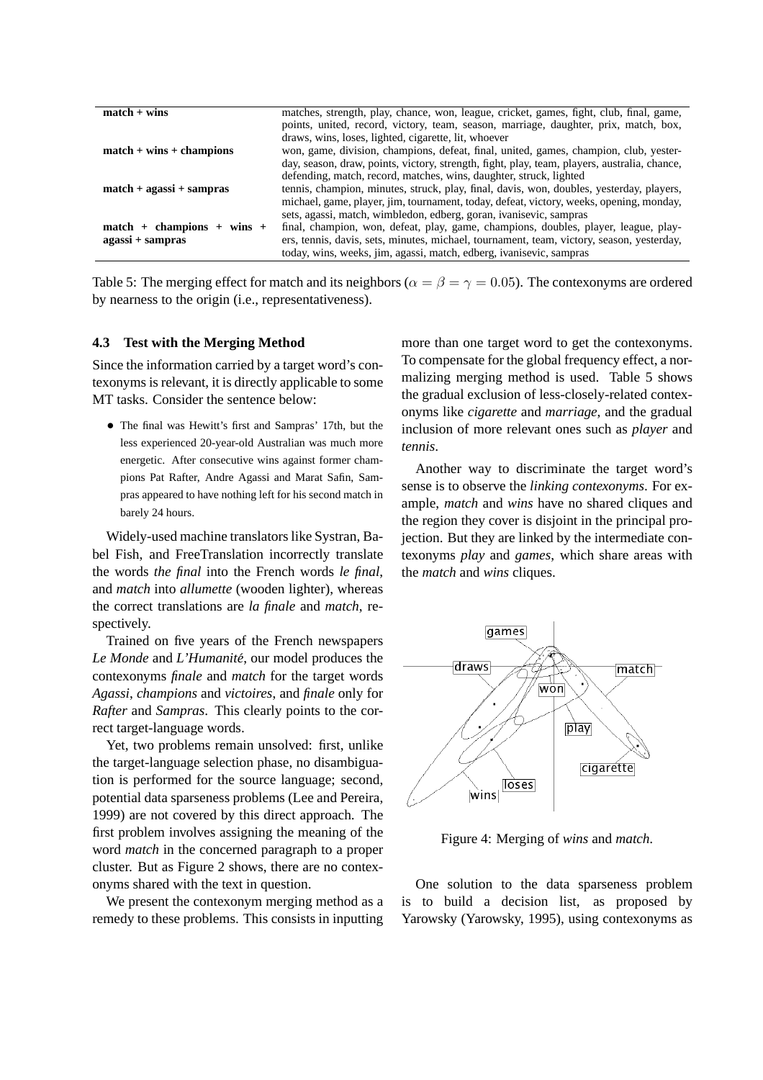| $match + wins$               | matches, strength, play, chance, won, league, cricket, games, fight, club, final, game,      |
|------------------------------|----------------------------------------------------------------------------------------------|
|                              | points, united, record, victory, team, season, marriage, daughter, prix, match, box,         |
|                              | draws, wins, loses, lighted, cigarette, lit, whoever                                         |
| $match + wins + champions$   | won, game, division, champions, defeat, final, united, games, champion, club, yester-        |
|                              | day, season, draw, points, victory, strength, fight, play, team, players, australia, chance, |
|                              | defending, match, record, matches, wins, daughter, struck, lighted                           |
| $match + agassi + sampras$   | tennis, champion, minutes, struck, play, final, davis, won, doubles, yesterday, players,     |
|                              | michael, game, player, jim, tournament, today, defeat, victory, weeks, opening, monday,      |
|                              | sets, agassi, match, wimbledon, edberg, goran, ivanisevic, sampras                           |
| $match + champions + wins +$ | final, champion, won, defeat, play, game, champions, doubles, player, league, play-          |
| agassi + sampras             | ers, tennis, davis, sets, minutes, michael, tournament, team, victory, season, yesterday,    |
|                              | today, wins, weeks, jim, agassi, match, edberg, ivanisevic, sampras                          |

Table 5: The merging effect for match and its neighbors ( $\alpha = \beta = \gamma = 0.05$ ). The contexonyms are ordered by nearness to the origin (i.e., representativeness).

### **4.3 Test with the Merging Method**

Since the information carried by a target word's contexonyms is relevant, it is directly applicable to some MT tasks. Consider the sentence below:

• The final was Hewitt's first and Sampras' 17th, but the less experienced 20-year-old Australian was much more energetic. After consecutive wins against former champions Pat Rafter, Andre Agassi and Marat Safin, Sampras appeared to have nothing left for his second match in barely 24 hours.

Widely-used machine translators like Systran, Babel Fish, and FreeTranslation incorrectly translate the words *the final* into the French words *le final*, and *match* into *allumette* (wooden lighter), whereas the correct translations are *la finale* and *match*, respectively.

Trained on five years of the French newspapers Le Monde and L'Humanité, our model produces the contexonyms *finale* and *match* for the target words *Agassi*, *champions* and *victoires*, and *finale* only for *Rafter* and *Sampras*. This clearly points to the correct target-language words.

Yet, two problems remain unsolved: first, unlike the target-language selection phase, no disambiguation is performed for the source language; second, potential data sparseness problems (Lee and Pereira, 1999) are not covered by this direct approach. The first problem involves assigning the meaning of the word *match* in the concerned paragraph to a proper cluster. But as Figure 2 shows, there are no contexonyms shared with the text in question.

We present the contexonym merging method as a remedy to these problems. This consists in inputting

more than one target word to get the contexonyms. To compensate for the global frequency effect, a normalizing merging method is used. Table 5 shows the gradual exclusion of less-closely-related contexonyms like *cigarette* and *marriage*, and the gradual inclusion of more relevant ones such as *player* and *tennis*.

Another way to discriminate the target word's sense is to observe the *linking contexonyms*. For example, *match* and *wins* have no shared cliques and the region they cover is disjoint in the principal projection. But they are linked by the intermediate contexonyms *play* and *games*, which share areas with the *match* and *wins* cliques.



Figure 4: Merging of *wins* and *match*.

One solution to the data sparseness problem is to build a decision list, as proposed by Yarowsky (Yarowsky, 1995), using contexonyms as